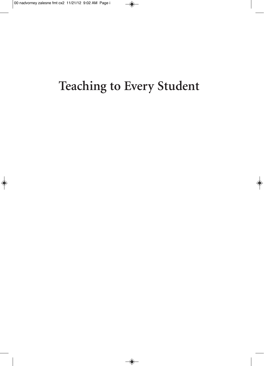# **Teaching to Every Student**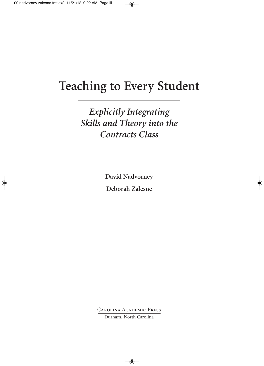## **Teaching to Every Student**

*Explicitly Integrating Skills and Theory into the Contracts Class*

> **David Nadvorney Deborah Zalesne**

Carolina Academic Press Durham, North Carolina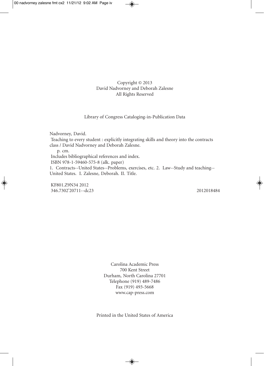#### Copyright © 2013 David Nadvorney and Deborah Zalesne All Rights Reserved

#### Library of Congress Cataloging-in-Publication Data

Nadvorney, David. Teaching to every student : explicitly integrating skills and theory into the contracts class / David Nadvorney and Deborah Zalesne. p. cm. Includes bibliographical references and index. ISBN 978-1-59460-575-8 (alk. paper) 1. Contracts--United States--Problems, exercises, etc. 2. Law--Study and teaching-- United States. I. Zalesne, Deborah. II. Title.

KF801.Z9N34 2012 346.7302'20711--dc23 2012018484

Carolina Academic Press 700 Kent Street Durham, North Carolina 27701 Telephone (919) 489-7486 Fax (919) 493-5668 www.cap-press.com

Printed in the United States of America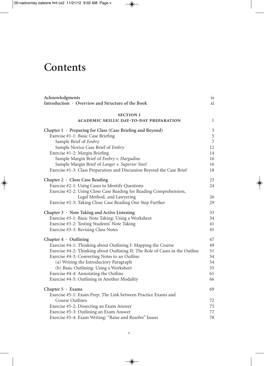## **Contents**

| Acknowledgments                                                              | 1X             |
|------------------------------------------------------------------------------|----------------|
| Introduction · Overview and Structure of the Book                            | xi             |
| <b>SECTION I</b>                                                             |                |
| <b>ACADEMIC SKILLS: DAY-TO-DAY PREPARATION</b>                               | 1              |
| Chapter $1 \cdot$ Preparing for Class (Case Briefing and Beyond)             | $\mathfrak{Z}$ |
| Exercise #1-1: Basic Case Briefing                                           | $\mathbf 5$    |
| Sample Brief of Embry                                                        | $\overline{7}$ |
| Sample Novice Case Brief of Embry                                            | 12             |
| Exercise #1-2: Margin Briefing                                               | 14             |
| Sample Margin Brief of Embry v. Hargadine                                    | 16             |
| Sample Margin Brief of Langer v. Superior Steel                              | 16             |
| Exercise #1-3: Class Preparation and Discussion Beyond the Case Brief        | 18             |
| Chapter 2 · Close Case Reading                                               | 23             |
| Exercise #2-1: Using Cases to Identify Questions                             | 24             |
| Exercise #2-2: Using Close Case Reading for Reading Comprehension,           |                |
| Legal Method, and Lawyering                                                  | 26             |
| Exercise #2-3: Taking Close Case Reading One Step Further                    | 29             |
| Chapter 3 · Note Taking and Active Listening                                 | 33             |
| Exercise #3-1: Basic Note Taking: Using a Worksheet                          | 34             |
| Exercise #3-2: Testing Students' Note Taking                                 | 41             |
| Exercise #3-3: Revising Class Notes                                          | 45             |
| Chapter $4 \cdot$ Outlining                                                  | 47             |
| Exercise #4-1: Thinking about Outlining I: Mapping the Course                | 49             |
| Exercise #4-2: Thinking about Outlining II: The Role of Cases in the Outline | 51             |
| Exercise #4-3: Converting Notes to an Outline                                | 54             |
| (a) Writing the Introductory Paragraph                                       | 54             |
| (b) Basic Outlining: Using a Worksheet                                       | 55             |
| Exercise #4-4: Annotating the Outline                                        | 61             |
| Exercise #4-5: Outlining in Another Modality                                 | 66             |
| Chapter 5 · Exams                                                            | 69             |
| Exercise #5-1: Exam Prep: The Link between Practice Exams and                |                |
| Course Outlines                                                              | 72             |
| Exercise #5-2: Dissecting an Exam Answer                                     | 75             |
| Exercise #5-3: Outlining an Exam Answer                                      | 77             |
| Exercise #5-4: Exam Writing: "Raise and Resolve" Issues                      | 78             |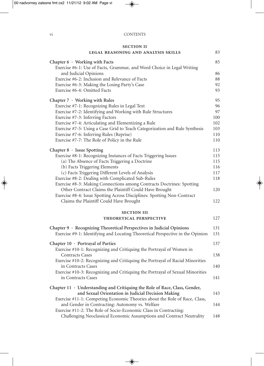#### vi CONTENTS

#### **section ii**

|  | LEGAL REASONING AND ANALYSIS SKILLS |  |
|--|-------------------------------------|--|
|--|-------------------------------------|--|

| Chapter $6 \cdot$ Working with Facts<br>Exercise #6-1: Use of Facts, Grammar, and Word Choice in Legal Writing                    |     |
|-----------------------------------------------------------------------------------------------------------------------------------|-----|
| and Judicial Opinions                                                                                                             | 86  |
| Exercise #6-2: Inclusion and Relevance of Facts                                                                                   | 88  |
| Exercise #6-3: Making the Losing Party's Case                                                                                     | 92  |
| Exercise #6-4: Omitted Facts                                                                                                      | 93  |
| Chapter $7 \cdot$ Working with Rules                                                                                              | 95  |
| Exercise #7-1: Recognizing Rules in Legal Text                                                                                    | 96  |
| Exercise #7-2: Identifying and Working with Rule Structures                                                                       | 97  |
| Exercise #7-3: Inferring Factors                                                                                                  | 100 |
| Exercise #7-4: Articulating and Elementizing a Rule                                                                               | 102 |
| Exercise #7-5: Using a Case Grid to Teach Categorization and Rule Synthesis                                                       | 103 |
| Exercise #7-6: Inferring Rules (Reprise)                                                                                          | 110 |
| Exercise #7-7: The Role of Policy in the Rule                                                                                     | 110 |
| Chapter $8 \cdot$ Issue Spotting                                                                                                  | 113 |
| Exercise #8-1: Recognizing Instances of Facts Triggering Issues                                                                   | 115 |
| (a) The Absence of Facts Triggering a Doctrine                                                                                    | 115 |
| (b) Facts Triggering Elements                                                                                                     | 116 |
| (c) Facts Triggering Different Levels of Analysis                                                                                 | 117 |
| Exercise #8-2: Dealing with Complicated Sub-Rules                                                                                 | 118 |
| Exercise #8-3: Making Connections among Contracts Doctrines: Spotting                                                             |     |
| Other Contract Claims the Plaintiff Could Have Brought<br>Exercise #8-4: Issue Spotting Across Disciplines: Spotting Non-Contract | 120 |
| Claims the Plaintiff Could Have Brought                                                                                           | 122 |
| <b>SECTION III</b>                                                                                                                |     |
| THEORETICAL PERSPECTIVE                                                                                                           | 127 |
| Chapter $9 \cdot$ Recognizing Theoretical Perspectives in Judicial Opinions                                                       |     |
| Exercise #9-1: Identifying and Locating Theoretical Perspective in the Opinion                                                    | 131 |
| Chapter 10 · Portrayal of Parties                                                                                                 | 137 |
| Exercise #10-1: Recognizing and Critiquing the Portrayal of Women in                                                              |     |
| <b>Contracts Cases</b>                                                                                                            | 138 |
| Exercise #10-2: Recognizing and Critiquing the Portrayal of Racial Minorities                                                     |     |
| in Contracts Cases                                                                                                                | 140 |
| Exercise #10-3: Recognizing and Critiquing the Portrayal of Sexual Minorities                                                     |     |
| in Contracts Cases                                                                                                                | 141 |
| Chapter 11 · Understanding and Critiquing the Role of Race, Class, Gender,                                                        |     |
| and Sexual Orientation in Judicial Decision Making                                                                                | 143 |
| Exercise #11-1: Competing Economic Theories about the Role of Race, Class,                                                        |     |
| and Gender in Contracting: Autonomy vs. Welfare                                                                                   | 144 |
| Exercise #11-2: The Role of Socio-Economic Class in Contracting:                                                                  |     |
| Challenging Neoclassical Economic Assumptions and Contract Neutrality                                                             | 148 |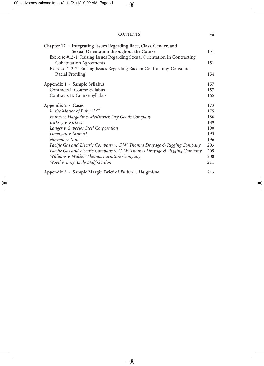| <b>CONTENTS</b> |  |
|-----------------|--|
|                 |  |

| Chapter 12 · Integrating Issues Regarding Race, Class, Gender, and          |     |
|-----------------------------------------------------------------------------|-----|
| Sexual Orientation throughout the Course                                    | 151 |
| Exercise #12-1: Raising Issues Regarding Sexual Orientation in Contracting: |     |
| <b>Cohabitation Agreements</b>                                              | 151 |
| Exercise #12-2: Raising Issues Regarding Race in Contracting: Consumer      |     |
| Racial Profiling                                                            | 154 |
| Appendix $1 \cdot$ Sample Syllabus                                          | 157 |
| Contracts I: Course Syllabus                                                | 157 |
| Contracts II: Course Syllabus                                               | 165 |
| Appendix $2 \cdot$ Cases                                                    | 173 |
| In the Matter of Baby "M"                                                   | 175 |
| Embry v. Hargadine, McKittrick Dry Goods Company                            | 186 |
| Kirksey v. Kirksey                                                          | 189 |
| Langer v. Superior Steel Corporation                                        | 190 |
| Lonergan v. Scolnick                                                        | 193 |
| Normile v. Miller                                                           | 196 |
| Pacific Gas and Electric Company v. G.W. Thomas Drayage & Rigging Company   | 203 |
| Pacific Gas and Electric Company v. G. W. Thomas Drayage & Rigging Company  | 205 |
| Williams v. Walker-Thomas Furniture Company                                 | 208 |
| Wood v. Lucy, Lady Duff Gordon                                              | 211 |
| Appendix $3 \cdot$ Sample Margin Brief of Embry v. Hargadine                | 213 |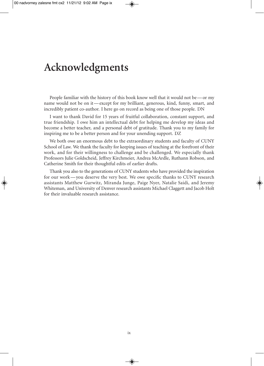### **Acknowledgments**

People familiar with the history of this book know well that it would not be—or my name would not be on it—except for my brilliant, generous, kind, funny, smart, and incredibly patient co-author. I here go on record as being one of those people. DN

I want to thank David for 15 years of fruitful collaboration, constant support, and true friendship. I owe him an intellectual debt for helping me develop my ideas and become a better teacher, and a personal debt of gratitude. Thank you to my family for inspiring me to be a better person and for your unending support. DZ

We both owe an enormous debt to the extraordinary students and faculty of CUNY School of Law. We thank the faculty for keeping issues of teaching at the forefront of their work, and for their willingness to challenge and be challenged. We especially thank Professors Julie Goldscheid, Jeffrey Kirchmeier, Andrea McArdle, Ruthann Robson, and Catherine Smith for their thoughtful edits of earlier drafts.

Thank you also to the generations of CUNY students who have provided the inspiration for our work—you deserve the very best. We owe specific thanks to CUNY research assistants Matthew Gurwitz, Miranda Junge, Paige Nyer, Natalie Saidi, and Jeremy Whiteman, and University of Denver research assistants Michael Claggett and Jacob Holt for their invaluable research assistance.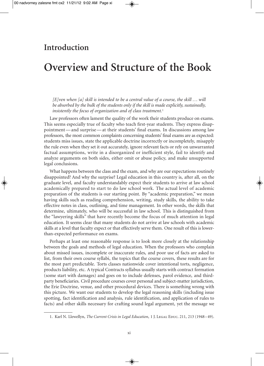### **Introduction**

### **Overview and Structure of the Book**

 $[E]$ ven when  $[a]$  skill is intended to be a central value of a course, the skill  $\dots$  will *be absorbed by the bulk of the students only if the skill is made explicitly, sustainedly, insistently the focus of organization and of class treatment.* 1

Law professors often lament the quality of the work their students produce on exams. This seems especially true of faculty who teach first-year students. They express disappointment—and surprise—at their students' final exams. In discussions among law professors, the most common complaints concerning students' final exams are as expected: students miss issues, state the applicable doctrine incorrectly or incompletely, misapply the rule even when they set it out accurately, ignore relevant facts or rely on unwarranted factual assumptions, write in a disorganized or inefficient style, fail to identify and analyze arguments on both sides, either omit or abuse policy, and make unsupported legal conclusions.

What happens between the class and the exam, and why are our expectations routinely disappointed? And why the surprise? Legal education in this country is, after all, on the graduate level, and faculty understandably expect their students to arrive at law school academically prepared to start to do law school work. The actual level of academic preparation of the students is our starting point. By "academic preparation," we mean having skills such as reading comprehension, writing, study skills, the ability to take effective notes in class, outlining, and time management. In other words, the skills that determine, ultimately, who will be successful in law school. This is distinguished from the "lawyering skills" that have recently become the focus of much attention in legal education. It seems clear that many students do not arrive at law schools with academic skills at a level that faculty expect or that effectively serve them. One result of this is lowerthan-expected performance on exams.

Perhaps at least one reasonable response is to look more closely at the relationship between the goals and methods of legal education. When the professors who complain about missed issues, incomplete or inaccurate rules, and poor use of facts are asked to list, from their own course syllabi, the topics that the course covers, these results are for the most part predictable. Torts classes nationwide cover intentional torts, negligence, products liability, etc. A typical Contracts syllabus usually starts with contract formation (some start with damages) and goes on to include defenses, parol evidence, and thirdparty beneficiaries. Civil procedure courses cover personal and subject-matter jurisdiction, the Erie Doctrine, venue, and other procedural devices. There is something wrong with this picture. We want our students to develop the legal reasoning skills (including issue spotting, fact identification and analysis, rule identification, and application of rules to facts) and other skills necessary for crafting sound legal argument, yet the message we

<sup>1.</sup> Karl N. Llewellyn, *The Current Crisis in Legal Education*, 1 J. Legal Educ. 211, 213 (1948–49).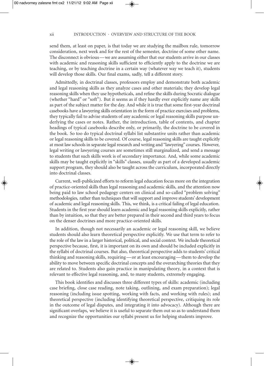send them, at least on paper, is that today we are studying the mailbox rule, tomorrow consideration, next week and for the rest of the semester, doctrine of some other name. The disconnect is obvious—we are assuming either that our students arrive in our classes with academic and reasoning skills sufficient to efficiently apply to the doctrine we are teaching, or by teaching doctrine in a certain way (whatever way we teach it), students will develop those skills. Our final exams, sadly, tell a different story.

Admittedly, in doctrinal classes, professors employ and demonstrate both academic and legal reasoning skills as they analyze cases and other materials; they develop legal reasoning skills when they use hypotheticals, and refine the skills during Socratic dialogue (whether "hard" or "soft"). But it seems as if they hardly ever explicitly name any skills as part of the subject matter for the day. And while it is true that some first-year doctrinal casebooks have a lawyering skills orientation in the form of practice exercises and problems, they typically fail to advise students of any academic or legal reasoning skills purpose underlying the cases or notes. Rather, the introduction, table of contents, and chapter headings of typical casebooks describe only, or primarily, the doctrine to be covered in the book. So too do typical doctrinal syllabi list substantive units rather than academic or legal reasoning skills to be covered. Of course, legal reasoning skills are taught explicitly at most law schools in separate legal research and writing and "lawyering" courses. However, legal writing or lawyering courses are sometimes still marginalized, and send a message to students that such skills work is of secondary importance. And, while some academic skills may be taught explicitly in "skills" classes, usually as part of a developed academic support program, they should also be taught across the curriculum, incorporated directly into doctrinal classes.

Current, well-publicized efforts to reform legal education focus more on the integration of practice-oriented skills than legal reasoning and academic skills, and the attention now being paid to law school pedagogy centers on clinical and so-called "problem solving" methodologies, rather than techniques that will support and improve students' development of academic and legal reasoning skills. This, we think, is a critical failing of legal education. Students in the first year should learn academic and legal reasoning skills explicitly, rather than by intuition, so that they are better prepared in their second and third years to focus on the denser doctrines and more practice-oriented skills.

In addition, though not necessarily an academic or legal reasoning skill, we believe students should also learn theoretical perspective explicitly. We use that term to refer to the role of the law in a larger historical, political, and social context. We include theoretical perspective because, first, it is important on its own and should be included explicitly in the syllabi of doctrinal courses. But also, theoretical perspective adds to students' critical thinking and reasoning skills, requiring—or at least encouraging—them to develop the ability to move between specific doctrinal concepts and the overarching theories that they are related to. Students also gain practice in manipulating theory, in a context that is relevant to effective legal reasoning, and, to many students, extremely engaging.

This book identifies and discusses three different types of skills: academic (including case briefing, close case reading, note taking, outlining, and exam preparation); legal reasoning (including issue spotting, working with facts, and working with rules); and theoretical perspective (including identifying theoretical perspective, critiquing its role in the outcome of legal disputes, and integrating it into advocacy). Although there are significant overlaps, we believe it is useful to separate them out so as to understand them and recognize the opportunities our syllabi present us for helping students improve.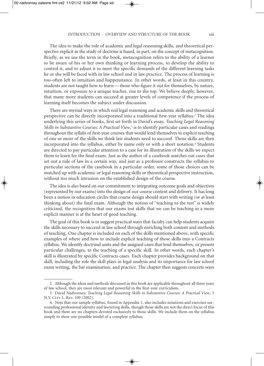The idea to make the role of academic and legal reasoning skills, and theoretical perspective explicit in the study of doctrine is based, in part, on the concept of metacognition. Briefly, as we use the term in the book, metacognition refers to the ability of a learner to be aware of his or her own thinking or learning process, to develop the ability to control it, and to adjust it to meet the specific demands of the different learning tasks he or she will be faced with in law school and in law practice. The process of learning is too-often left to intuition and happenstance. In other words, at least in this country, students are not taught how to learn—those who figure it out for themselves, by nature, intuition, or exposure to a unique teacher, rise to the top. We believe deeply, however, that many more students can succeed at greater levels of competence if the process of learning itself becomes the subject under discussion.

There are myriad ways in which real legal reasoning and academic skills and theoretical perspective can be directly incorporated into a traditional first-year syllabus. <sup>2</sup> The idea underlying this series of books, first set forth in David's essay, *Teaching Legal Reasoning Skills in Substantive Courses: A Practical View*, <sup>3</sup> is to identify particular cases and readings throughout the syllabi of first-year courses that would lend themselves to explicit teaching of one or more of the skills we think law students need to succeed. Those skills are then incorporated into the syllabus, either by name only or with a short notation. <sup>4</sup> Students are directed to pay particular attention to a case for its illustration of the skills we expect them to learn for the final exam. Just as the author of a casebook searches out cases that set out a rule of law in a certain way, and just as a professor constructs the syllabus to particular sections of the casebook in a particular order, some of those choices can be matched up with academic or legal reasoning skills or theoretical perspective instruction, without too much intrusion on the established design of the course.

The idea is also based on our commitment to integrating outcome goals and objectives (represented by our exams) into the design of our course content and delivery. It has long been a notion in education circles that course design should start with writing (or at least thinking about) the final exam. Although the notion of "teaching to the test" is widely criticized, the recognition that our exams test skills that we can be teaching in a more explicit manner is at the heart of good teaching.

The goal of this book is to suggest practical ways that faculty can help students acquire the skills necessary to succeed in law school through enriching both content and methods of teaching. One chapter is included on each of the skills mentioned above, with specific examples of where and how to include explicit teaching of those skills into a Contracts syllabus. We identify doctrinal units and the assigned cases that lend themselves, or present particular challenges, to the teaching of a specific skill. In other words, each chapter's skill is illustrated by specific Contracts cases. Each chapter provides background on that skill, including the role the skill plays in legal analysis and its importance for law school exam writing, the bar examination, and practice. The chapter then suggests concrete ways

<sup>2.</sup> Although the ideas and methods discussed in this book are applicable throughout all three years of law school, they are most relevant and powerful in the first-year curriculum.

<sup>3.</sup> David Nadvorney, *Teaching Legal Reasoning Skills in Substantive Courses: A Practical View*, 5 N.Y. CITY L. REV. 109 (2002).

<sup>4.</sup> Note that our sample syllabus, found in Appendix 1, also includes notations and exercises surrounding professional identity and lawyering skills, though those skills are not the direct focus of this book and there are no chapters devoted exclusively to those skills. We include them on the syllabus simply to show one possible model of a complete syllabus.